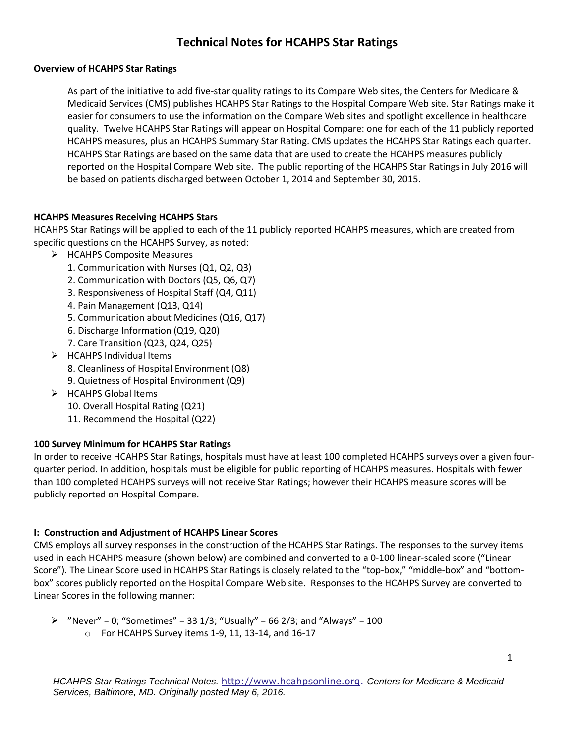# **Technical Notes for HCAHPS Star Ratings**

#### **Overview of HCAHPS Star Ratings**

As part of the initiative to add five-star quality ratings to its Compare Web sites, the Centers for Medicare & Medicaid Services (CMS) publishes HCAHPS Star Ratings to the Hospital Compare Web site. Star Ratings make it easier for consumers to use the information on the Compare Web sites and spotlight excellence in healthcare quality. Twelve HCAHPS Star Ratings will appear on Hospital Compare: one for each of the 11 publicly reported HCAHPS measures, plus an HCAHPS Summary Star Rating. CMS updates the HCAHPS Star Ratings each quarter. HCAHPS Star Ratings are based on the same data that are used to create the HCAHPS measures publicly reported on the Hospital Compare Web site. The public reporting of the HCAHPS Star Ratings in July 2016 will be based on patients discharged between October 1, 2014 and September 30, 2015.

#### **HCAHPS Measures Receiving HCAHPS Stars**

HCAHPS Star Ratings will be applied to each of the 11 publicly reported HCAHPS measures, which are created from specific questions on the HCAHPS Survey, as noted:

- > HCAHPS Composite Measures
	- 1. Communication with Nurses (Q1, Q2, Q3)
	- 2. Communication with Doctors (Q5, Q6, Q7)
	- 3. Responsiveness of Hospital Staff (Q4, Q11)
	- 4. Pain Management (Q13, Q14)
	- 5. Communication about Medicines (Q16, Q17)
	- 6. Discharge Information (Q19, Q20)
	- 7. Care Transition (Q23, Q24, Q25)
- $\triangleright$  HCAHPS Individual Items
	- 8. Cleanliness of Hospital Environment (Q8)
	- 9. Quietness of Hospital Environment (Q9)
- $\triangleright$  HCAHPS Global Items
	- 10. Overall Hospital Rating (Q21)
	- 11. Recommend the Hospital (Q22)

# **100 Survey Minimum for HCAHPS Star Ratings**

In order to receive HCAHPS Star Ratings, hospitals must have at least 100 completed HCAHPS surveys over a given fourquarter period. In addition, hospitals must be eligible for public reporting of HCAHPS measures. Hospitals with fewer than 100 completed HCAHPS surveys will not receive Star Ratings; however their HCAHPS measure scores will be publicly reported on Hospital Compare.

# **I: Construction and Adjustment of HCAHPS Linear Scores**

CMS employs all survey responses in the construction of the HCAHPS Star Ratings. The responses to the survey items used in each HCAHPS measure (shown below) are combined and converted to a 0-100 linear-scaled score ("Linear Score"). The Linear Score used in HCAHPS Star Ratings is closely related to the "top-box," "middle-box" and "bottombox" scores publicly reported on the Hospital Compare Web site. Responses to the HCAHPS Survey are converted to Linear Scores in the following manner:

```
\triangleright "Never" = 0; "Sometimes" = 33 1/3; "Usually" = 66 2/3; and "Always" = 100
       o For HCAHPS Survey items 1-9, 11, 13-14, and 16-17
```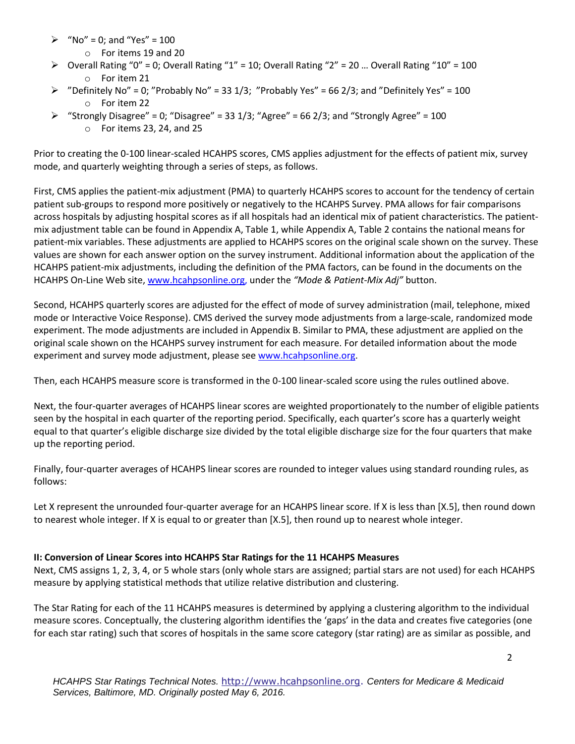- $\triangleright$  "No" = 0; and "Yes" = 100
	- o For items 19 and 20
- $\triangleright$  Overall Rating "0" = 0; Overall Rating "1" = 10; Overall Rating "2" = 20 ... Overall Rating "10" = 100 o For item 21
- $\triangleright$  "Definitely No" = 0; "Probably No" = 33 1/3; "Probably Yes" = 66 2/3; and "Definitely Yes" = 100 o For item 22
- $\triangleright$  "Strongly Disagree" = 0; "Disagree" = 33 1/3; "Agree" = 66 2/3; and "Strongly Agree" = 100
	- o For items 23, 24, and 25

Prior to creating the 0-100 linear-scaled HCAHPS scores, CMS applies adjustment for the effects of patient mix, survey mode, and quarterly weighting through a series of steps, as follows.

First, CMS applies the patient-mix adjustment (PMA) to quarterly HCAHPS scores to account for the tendency of certain patient sub-groups to respond more positively or negatively to the HCAHPS Survey. PMA allows for fair comparisons across hospitals by adjusting hospital scores as if all hospitals had an identical mix of patient characteristics. The patientmix adjustment table can be found in Appendix A, Table 1, while Appendix A, Table 2 contains the national means for patient-mix variables. These adjustments are applied to HCAHPS scores on the original scale shown on the survey. These values are shown for each answer option on the survey instrument. Additional information about the application of the HCAHPS patient-mix adjustments, including the definition of the PMA factors, can be found in the documents on the HCAHPS On-Line Web site, [www.hcahpsonline.org,](http://www.hcahpsonline.org/) under the *"Mode & Patient-Mix Adj"* button.

Second, HCAHPS quarterly scores are adjusted for the effect of mode of survey administration (mail, telephone, mixed mode or Interactive Voice Response). CMS derived the survey mode adjustments from a large-scale, randomized mode experiment. The mode adjustments are included in Appendix B. Similar to PMA, these adjustment are applied on the original scale shown on the HCAHPS survey instrument for each measure. For detailed information about the mode experiment and survey mode adjustment, please see [www.hcahpsonline.org.](http://www.hcahpsonline.org/)

Then, each HCAHPS measure score is transformed in the 0-100 linear-scaled score using the rules outlined above.

Next, the four-quarter averages of HCAHPS linear scores are weighted proportionately to the number of eligible patients seen by the hospital in each quarter of the reporting period. Specifically, each quarter's score has a quarterly weight equal to that quarter's eligible discharge size divided by the total eligible discharge size for the four quarters that make up the reporting period.

Finally, four-quarter averages of HCAHPS linear scores are rounded to integer values using standard rounding rules, as follows:

Let X represent the unrounded four-quarter average for an HCAHPS linear score. If X is less than [X.5], then round down to nearest whole integer. If X is equal to or greater than [X.5], then round up to nearest whole integer.

# **II: Conversion of Linear Scores into HCAHPS Star Ratings for the 11 HCAHPS Measures**

Next, CMS assigns 1, 2, 3, 4, or 5 whole stars (only whole stars are assigned; partial stars are not used) for each HCAHPS measure by applying statistical methods that utilize relative distribution and clustering.

The Star Rating for each of the 11 HCAHPS measures is determined by applying a clustering algorithm to the individual measure scores. Conceptually, the clustering algorithm identifies the 'gaps' in the data and creates five categories (one for each star rating) such that scores of hospitals in the same score category (star rating) are as similar as possible, and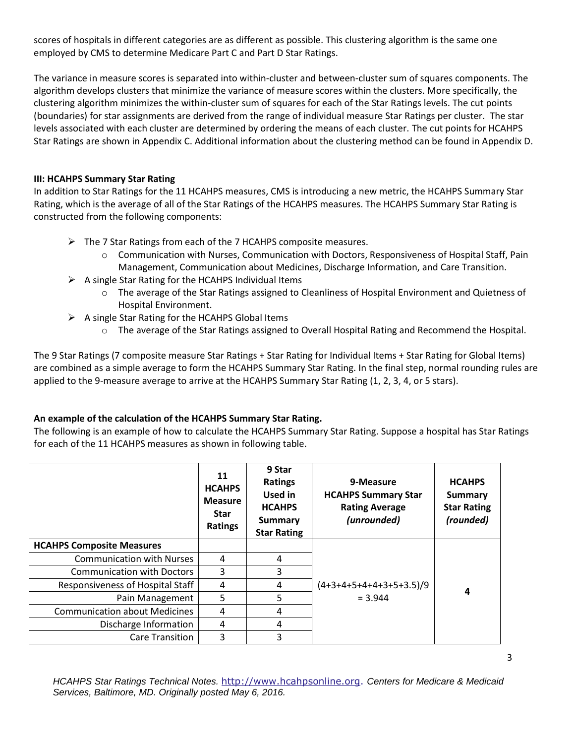scores of hospitals in different categories are as different as possible. This clustering algorithm is the same one employed by CMS to determine Medicare Part C and Part D Star Ratings.

The variance in measure scores is separated into within-cluster and between-cluster sum of squares components. The algorithm develops clusters that minimize the variance of measure scores within the clusters. More specifically, the clustering algorithm minimizes the within-cluster sum of squares for each of the Star Ratings levels. The cut points (boundaries) for star assignments are derived from the range of individual measure Star Ratings per cluster. The star levels associated with each cluster are determined by ordering the means of each cluster. The cut points for HCAHPS Star Ratings are shown in Appendix C. Additional information about the clustering method can be found in Appendix D.

#### **III: HCAHPS Summary Star Rating**

In addition to Star Ratings for the 11 HCAHPS measures, CMS is introducing a new metric, the HCAHPS Summary Star Rating, which is the average of all of the Star Ratings of the HCAHPS measures. The HCAHPS Summary Star Rating is constructed from the following components:

- $\triangleright$  The 7 Star Ratings from each of the 7 HCAHPS composite measures.
	- $\circ$  Communication with Nurses, Communication with Doctors, Responsiveness of Hospital Staff, Pain Management, Communication about Medicines, Discharge Information, and Care Transition.
- $\triangleright$  A single Star Rating for the HCAHPS Individual Items
	- o The average of the Star Ratings assigned to Cleanliness of Hospital Environment and Quietness of Hospital Environment.
- $\triangleright$  A single Star Rating for the HCAHPS Global Items
	- o The average of the Star Ratings assigned to Overall Hospital Rating and Recommend the Hospital.

The 9 Star Ratings (7 composite measure Star Ratings + Star Rating for Individual Items + Star Rating for Global Items) are combined as a simple average to form the HCAHPS Summary Star Rating. In the final step, normal rounding rules are applied to the 9-measure average to arrive at the HCAHPS Summary Star Rating (1, 2, 3, 4, or 5 stars).

# **An example of the calculation of the HCAHPS Summary Star Rating.**

The following is an example of how to calculate the HCAHPS Summary Star Rating. Suppose a hospital has Star Ratings for each of the 11 HCAHPS measures as shown in following table.

|                                      | 11<br><b>HCAHPS</b><br><b>Measure</b><br><b>Star</b><br><b>Ratings</b> | 9 Star<br><b>Ratings</b><br>Used in<br><b>HCAHPS</b><br><b>Summary</b><br><b>Star Rating</b> | 9-Measure<br><b>HCAHPS Summary Star</b><br><b>Rating Average</b><br>(unrounded) | <b>HCAHPS</b><br>Summary<br><b>Star Rating</b><br>(rounded) |
|--------------------------------------|------------------------------------------------------------------------|----------------------------------------------------------------------------------------------|---------------------------------------------------------------------------------|-------------------------------------------------------------|
| <b>HCAHPS Composite Measures</b>     |                                                                        |                                                                                              |                                                                                 |                                                             |
| <b>Communication with Nurses</b>     | 4                                                                      | 4                                                                                            |                                                                                 |                                                             |
| <b>Communication with Doctors</b>    | 3                                                                      | 3                                                                                            |                                                                                 |                                                             |
| Responsiveness of Hospital Staff     | 4                                                                      | 4                                                                                            | $(4+3+4+5+4+4+3+5+3.5)/9$                                                       | 4                                                           |
| Pain Management                      | 5                                                                      | 5                                                                                            | $= 3.944$                                                                       |                                                             |
| <b>Communication about Medicines</b> | 4                                                                      | 4                                                                                            |                                                                                 |                                                             |
| Discharge Information                | 4                                                                      | 4                                                                                            |                                                                                 |                                                             |
| Care Transition                      | 3                                                                      | 3                                                                                            |                                                                                 |                                                             |

*HCAHPS Star Ratings Technical Notes.* [http://www.hcahpsonline.org.](http://www.hcahpsonline.org/) *Centers for Medicare & Medicaid Services, Baltimore, MD. Originally posted May 6, 2016.*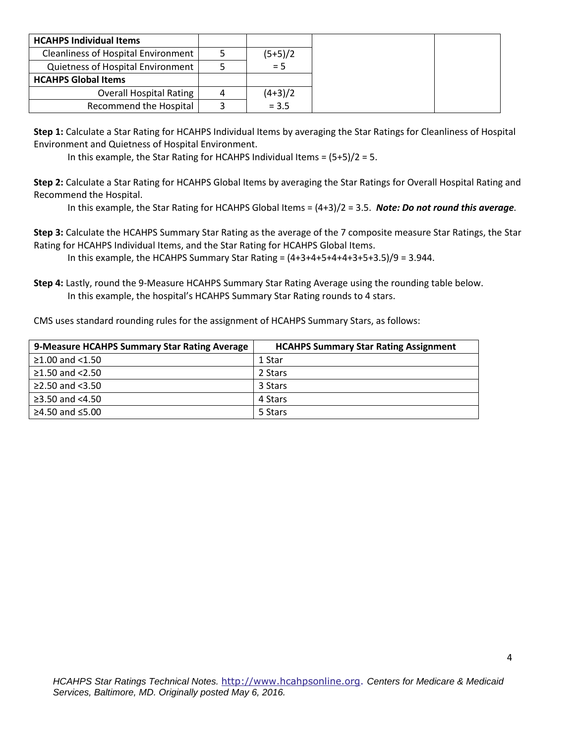| <b>HCAHPS Individual Items</b>             |   |           |
|--------------------------------------------|---|-----------|
| <b>Cleanliness of Hospital Environment</b> |   | $(5+5)/2$ |
| <b>Quietness of Hospital Environment</b>   |   | $= 5$     |
| <b>HCAHPS Global Items</b>                 |   |           |
| <b>Overall Hospital Rating</b>             | 4 | $(4+3)/2$ |
| Recommend the Hospital                     |   | $= 3.5$   |

**Step 1:** Calculate a Star Rating for HCAHPS Individual Items by averaging the Star Ratings for Cleanliness of Hospital Environment and Quietness of Hospital Environment.

In this example, the Star Rating for HCAHPS Individual Items = (5+5)/2 = 5.

**Step 2:** Calculate a Star Rating for HCAHPS Global Items by averaging the Star Ratings for Overall Hospital Rating and Recommend the Hospital.

In this example, the Star Rating for HCAHPS Global Items = (4+3)/2 = 3.5. *Note: Do not round this average.*

**Step 3:** Calculate the HCAHPS Summary Star Rating as the average of the 7 composite measure Star Ratings, the Star Rating for HCAHPS Individual Items, and the Star Rating for HCAHPS Global Items.

In this example, the HCAHPS Summary Star Rating =  $(4+3+4+5+4+4+3+5+3.5)/9 = 3.944$ .

**Step 4:** Lastly, round the 9-Measure HCAHPS Summary Star Rating Average using the rounding table below. In this example, the hospital's HCAHPS Summary Star Rating rounds to 4 stars.

CMS uses standard rounding rules for the assignment of HCAHPS Summary Stars, as follows:

| 9-Measure HCAHPS Summary Star Rating Average | <b>HCAHPS Summary Star Rating Assignment</b> |
|----------------------------------------------|----------------------------------------------|
| $\geq$ 1.00 and <1.50                        | 1 Star                                       |
| $≥1.50$ and $<2.50$                          | 2 Stars                                      |
| ≥2.50 and $<3.50$                            | 3 Stars                                      |
| ≥3.50 and $<4.50$                            | 4 Stars                                      |
| ≥4.50 and ≤5.00                              | 5 Stars                                      |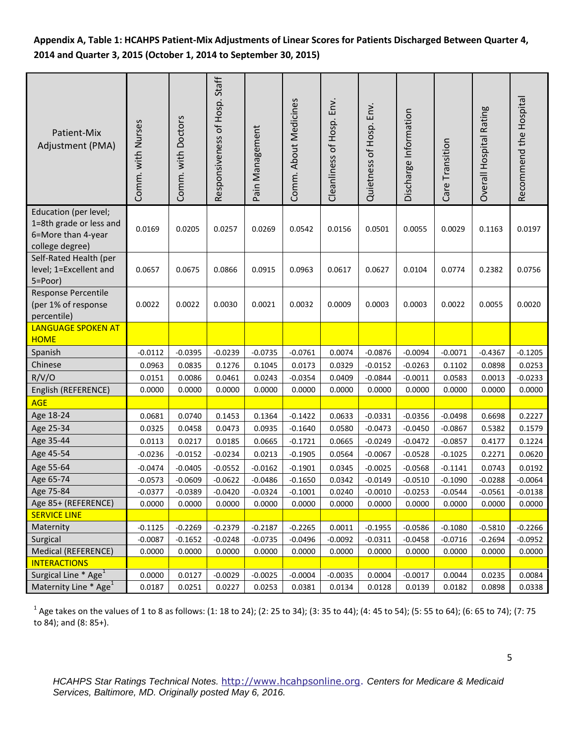# **Appendix A, Table 1: HCAHPS Patient-Mix Adjustments of Linear Scores for Patients Discharged Between Quarter 4, 2014 and Quarter 3, 2015 (October 1, 2014 to September 30, 2015)**

| Patient-Mix<br>Adjustment (PMA)                                                           | Comm. with Nurses | Comm. with Doctors | Responsiveness of Hosp. Staff | Pain Management | Comm. About Medicines | Cleanliness of Hosp. Env. | Quietness of Hosp. Env. | Discharge Information | Care Transition | Overall Hospital Rating | Recommend the Hospital |
|-------------------------------------------------------------------------------------------|-------------------|--------------------|-------------------------------|-----------------|-----------------------|---------------------------|-------------------------|-----------------------|-----------------|-------------------------|------------------------|
| Education (per level;<br>1=8th grade or less and<br>6=More than 4-year<br>college degree) | 0.0169            | 0.0205             | 0.0257                        | 0.0269          | 0.0542                | 0.0156                    | 0.0501                  | 0.0055                | 0.0029          | 0.1163                  | 0.0197                 |
| Self-Rated Health (per<br>level; 1=Excellent and<br>5=Poor)                               | 0.0657            | 0.0675             | 0.0866                        | 0.0915          | 0.0963                | 0.0617                    | 0.0627                  | 0.0104                | 0.0774          | 0.2382                  | 0.0756                 |
| Response Percentile<br>(per 1% of response<br>percentile)                                 | 0.0022            | 0.0022             | 0.0030                        | 0.0021          | 0.0032                | 0.0009                    | 0.0003                  | 0.0003                | 0.0022          | 0.0055                  | 0.0020                 |
| <b>LANGUAGE SPOKEN AT</b><br><b>HOME</b>                                                  |                   |                    |                               |                 |                       |                           |                         |                       |                 |                         |                        |
| Spanish                                                                                   | $-0.0112$         | $-0.0395$          | $-0.0239$                     | $-0.0735$       | $-0.0761$             | 0.0074                    | $-0.0876$               | $-0.0094$             | $-0.0071$       | $-0.4367$               | $-0.1205$              |
| Chinese                                                                                   | 0.0963            | 0.0835             | 0.1276                        | 0.1045          | 0.0173                | 0.0329                    | $-0.0152$               | $-0.0263$             | 0.1102          | 0.0898                  | 0.0253                 |
| R/V/O                                                                                     | 0.0151            | 0.0086             | 0.0461                        | 0.0243          | $-0.0354$             | 0.0409                    | $-0.0844$               | $-0.0011$             | 0.0583          | 0.0013                  | $-0.0233$              |
| English (REFERENCE)                                                                       | 0.0000            | 0.0000             | 0.0000                        | 0.0000          | 0.0000                | 0.0000                    | 0.0000                  | 0.0000                | 0.0000          | 0.0000                  | 0.0000                 |
| <b>AGE</b>                                                                                |                   |                    |                               |                 |                       |                           |                         |                       |                 |                         |                        |
| Age 18-24                                                                                 | 0.0681            | 0.0740             | 0.1453                        | 0.1364          | $-0.1422$             | 0.0633                    | $-0.0331$               | $-0.0356$             | $-0.0498$       | 0.6698                  | 0.2227                 |
| Age 25-34                                                                                 | 0.0325            | 0.0458             | 0.0473                        | 0.0935          | $-0.1640$             | 0.0580                    | $-0.0473$               | $-0.0450$             | $-0.0867$       | 0.5382                  | 0.1579                 |
| Age 35-44                                                                                 | 0.0113            | 0.0217             | 0.0185                        | 0.0665          | $-0.1721$             | 0.0665                    | $-0.0249$               | $-0.0472$             | $-0.0857$       | 0.4177                  | 0.1224                 |
| Age 45-54                                                                                 | $-0.0236$         | $-0.0152$          | $-0.0234$                     | 0.0213          | $-0.1905$             | 0.0564                    | $-0.0067$               | $-0.0528$             | $-0.1025$       | 0.2271                  | 0.0620                 |
| Age 55-64                                                                                 | $-0.0474$         | $-0.0405$          | $-0.0552$                     | $-0.0162$       | $-0.1901$             | 0.0345                    | $-0.0025$               | $-0.0568$             | $-0.1141$       | 0.0743                  | 0.0192                 |
| Age 65-74                                                                                 | $-0.0573$         | $-0.0609$          | $-0.0622$                     | $-0.0486$       | $-0.1650$             | 0.0342                    | $-0.0149$               | $-0.0510$             | $-0.1090$       | $-0.0288$               | $-0.0064$              |
| Age 75-84                                                                                 | $-0.0377$         | $-0.0389$          | $-0.0420$                     | $-0.0324$       | $-0.1001$             | 0.0240                    | $-0.0010$               | $-0.0253$             | $-0.0544$       | $-0.0561$               | $-0.0138$              |
| Age 85+ (REFERENCE)                                                                       | 0.0000            | 0.0000             | 0.0000                        | 0.0000          | 0.0000                | 0.0000                    | 0.0000                  | 0.0000                | 0.0000          | 0.0000                  | 0.0000                 |
| <b>SERVICE LINE</b>                                                                       |                   |                    |                               |                 |                       |                           |                         |                       |                 |                         |                        |
| Maternity                                                                                 | $-0.1125$         | $-0.2269$          | $-0.2379$                     | $-0.2187$       | $-0.2265$             | 0.0011                    | $-0.1955$               | $-0.0586$             | $-0.1080$       | $-0.5810$               | $-0.2266$              |
| Surgical                                                                                  | $-0.0087$         | $-0.1652$          | $-0.0248$                     | $-0.0735$       | $-0.0496$             | $-0.0092$                 | $-0.0311$               | $-0.0458$             | $-0.0716$       | $-0.2694$               | $-0.0952$              |
| Medical (REFERENCE)                                                                       | 0.0000            | 0.0000             | 0.0000                        | 0.0000          | 0.0000                | 0.0000                    | 0.0000                  | 0.0000                | 0.0000          | 0.0000                  | 0.0000                 |
| <b>INTERACTIONS</b>                                                                       |                   |                    |                               |                 |                       |                           |                         |                       |                 |                         |                        |
| Surgical Line * Age <sup>1</sup>                                                          | 0.0000            | 0.0127             | $-0.0029$                     | $-0.0025$       | $-0.0004$             | $-0.0035$                 | 0.0004                  | $-0.0017$             | 0.0044          | 0.0235                  | 0.0084                 |
| Maternity Line * Age <sup>1</sup>                                                         | 0.0187            | 0.0251             | 0.0227                        | 0.0253          | 0.0381                | 0.0134                    | 0.0128                  | 0.0139                | 0.0182          | 0.0898                  | 0.0338                 |

 $^1$  Age takes on the values of 1 to 8 as follows: (1: 18 to 24); (2: 25 to 34); (3: 35 to 44); (4: 45 to 54); (5: 55 to 64); (6: 65 to 74); (7: 75 to 84); and (8: 85+).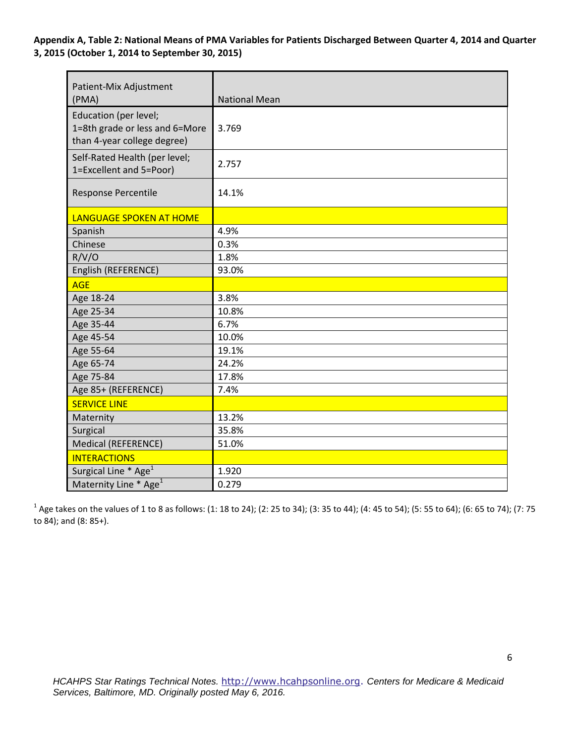**Appendix A, Table 2: National Means of PMA Variables for Patients Discharged Between Quarter 4, 2014 and Quarter 3, 2015 (October 1, 2014 to September 30, 2015)** 

| Patient-Mix Adjustment<br>(PMA)                                                        | <b>National Mean</b> |
|----------------------------------------------------------------------------------------|----------------------|
| Education (per level;<br>1=8th grade or less and 6=More<br>than 4-year college degree) | 3.769                |
| Self-Rated Health (per level;<br>1=Excellent and 5=Poor)                               | 2.757                |
| <b>Response Percentile</b>                                                             | 14.1%                |
| <b>LANGUAGE SPOKEN AT HOME</b>                                                         |                      |
| Spanish                                                                                | 4.9%                 |
| Chinese                                                                                | 0.3%                 |
| R/V/O                                                                                  | 1.8%                 |
| English (REFERENCE)                                                                    | 93.0%                |
| <b>AGE</b>                                                                             |                      |
| Age 18-24                                                                              | 3.8%                 |
| Age 25-34                                                                              | 10.8%                |
| Age 35-44                                                                              | 6.7%                 |
| Age 45-54                                                                              | 10.0%                |
| Age 55-64                                                                              | 19.1%                |
| Age 65-74                                                                              | 24.2%                |
| Age 75-84                                                                              | 17.8%                |
| Age 85+ (REFERENCE)                                                                    | 7.4%                 |
| <b>SERVICE LINE</b>                                                                    |                      |
| Maternity                                                                              | 13.2%                |
| Surgical                                                                               | 35.8%                |
| Medical (REFERENCE)                                                                    | 51.0%                |
| <b>INTERACTIONS</b>                                                                    |                      |
| Surgical Line * Age <sup>1</sup>                                                       | 1.920                |
| Maternity Line * Age <sup>1</sup>                                                      | 0.279                |

 $^1$  Age takes on the values of 1 to 8 as follows: (1: 18 to 24); (2: 25 to 34); (3: 35 to 44); (4: 45 to 54); (5: 55 to 64); (6: 65 to 74); (7: 75 to 84); and (8: 85+).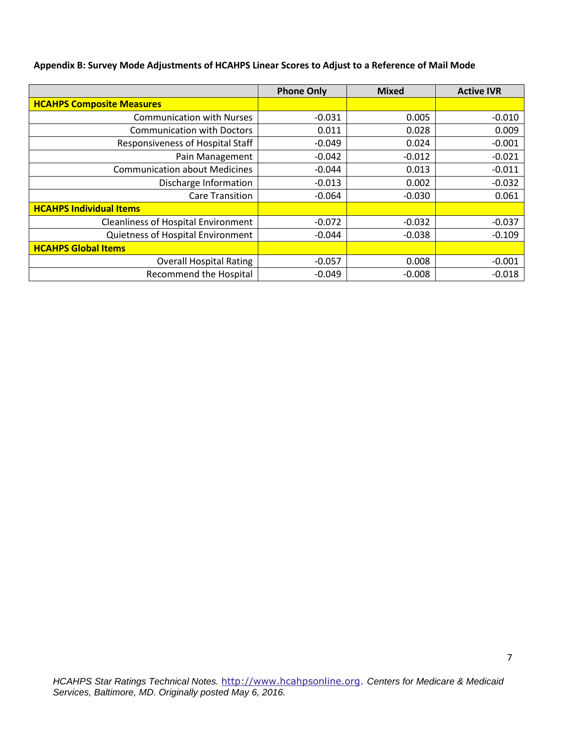|  |  | Appendix B: Survey Mode Adjustments of HCAHPS Linear Scores to Adjust to a Reference of Mail Mode |  |  |
|--|--|---------------------------------------------------------------------------------------------------|--|--|
|--|--|---------------------------------------------------------------------------------------------------|--|--|

|                                            | <b>Phone Only</b> | <b>Mixed</b> | <b>Active IVR</b> |
|--------------------------------------------|-------------------|--------------|-------------------|
| <b>HCAHPS Composite Measures</b>           |                   |              |                   |
| <b>Communication with Nurses</b>           | $-0.031$          | 0.005        | $-0.010$          |
| <b>Communication with Doctors</b>          | 0.011             | 0.028        | 0.009             |
| Responsiveness of Hospital Staff           | $-0.049$          | 0.024        | $-0.001$          |
| Pain Management                            | $-0.042$          | $-0.012$     | $-0.021$          |
| <b>Communication about Medicines</b>       | $-0.044$          | 0.013        | $-0.011$          |
| Discharge Information                      | $-0.013$          | 0.002        | $-0.032$          |
| <b>Care Transition</b>                     | $-0.064$          | $-0.030$     | 0.061             |
| <b>HCAHPS Individual Items</b>             |                   |              |                   |
| <b>Cleanliness of Hospital Environment</b> | $-0.072$          | $-0.032$     | $-0.037$          |
| Quietness of Hospital Environment          | $-0.044$          | $-0.038$     | $-0.109$          |
| <b>HCAHPS Global Items</b>                 |                   |              |                   |
| <b>Overall Hospital Rating</b>             | $-0.057$          | 0.008        | $-0.001$          |
| Recommend the Hospital                     | $-0.049$          | $-0.008$     | $-0.018$          |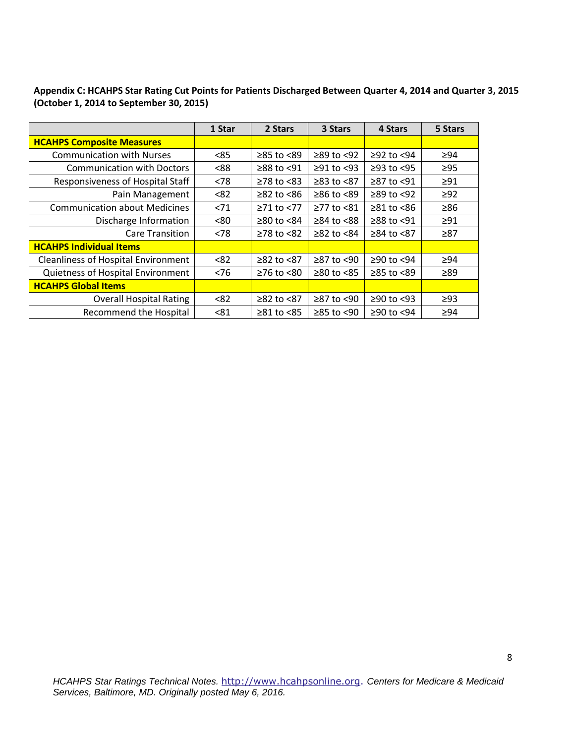| Appendix C: HCAHPS Star Rating Cut Points for Patients Discharged Between Quarter 4, 2014 and Quarter 3, 2015 |  |
|---------------------------------------------------------------------------------------------------------------|--|
| (October 1, 2014 to September 30, 2015)                                                                       |  |

|                                            | 1 Star | 2 Stars                | 3 Stars          | 4 Stars                | 5 Stars   |
|--------------------------------------------|--------|------------------------|------------------|------------------------|-----------|
| <b>HCAHPS Composite Measures</b>           |        |                        |                  |                        |           |
| <b>Communication with Nurses</b>           | < 85   | ≥85 to <89             | $≥89$ to <92     | $≥92$ to $<94$         | $\geq 94$ |
| <b>Communication with Doctors</b>          | < 88   | $≥88$ to <91           | $\geq$ 91 to <93 | $≥93$ to $<95$         | $\geq$ 95 |
| Responsiveness of Hospital Staff           | < 78   | $\geq$ 78 to <83       | $≥83$ to $<87$   | ≥87 to <91             | $\geq 91$ |
| Pain Management                            | < 82   | $\geq$ 82 to <86       | $≥86$ to <89     | $\geq$ 89 to <92       | $\geq$ 92 |
| <b>Communication about Medicines</b>       | < 71   | $≥71$ to <77           | ≥77 to <81       | $\geq 81$ to $\leq 86$ | $\geq 86$ |
| Discharge Information                      | <80    | $\geq$ 80 to <84       | $\geq$ 84 to <88 | ≥88 to <91             | $\geq 91$ |
| <b>Care Transition</b>                     | < 78   | $≥78$ to $≤82$         | $≥82$ to $≤84$   | $≥84$ to $≤87$         | $\geq 87$ |
| <b>HCAHPS Individual Items</b>             |        |                        |                  |                        |           |
| <b>Cleanliness of Hospital Environment</b> | < 82   | $≥82$ to $≤87$         | ≥87 to <90       | ≥90 to <94             | ≥94       |
| Quietness of Hospital Environment          | < 76   | $≥76$ to $≤80$         | $≥80$ to <85     | $≥85$ to $<89$         | ≥89       |
| <b>HCAHPS Global Items</b>                 |        |                        |                  |                        |           |
| <b>Overall Hospital Rating</b>             | < 82   | $≥82$ to $<87$         | ≥87 to <90       | $≥90$ to <93           | $\geq$ 93 |
| <b>Recommend the Hospital</b>              | < 81   | $\geq 81$ to $\leq 85$ | $≥85$ to <90     | ≥90 to <94             | $\geq 94$ |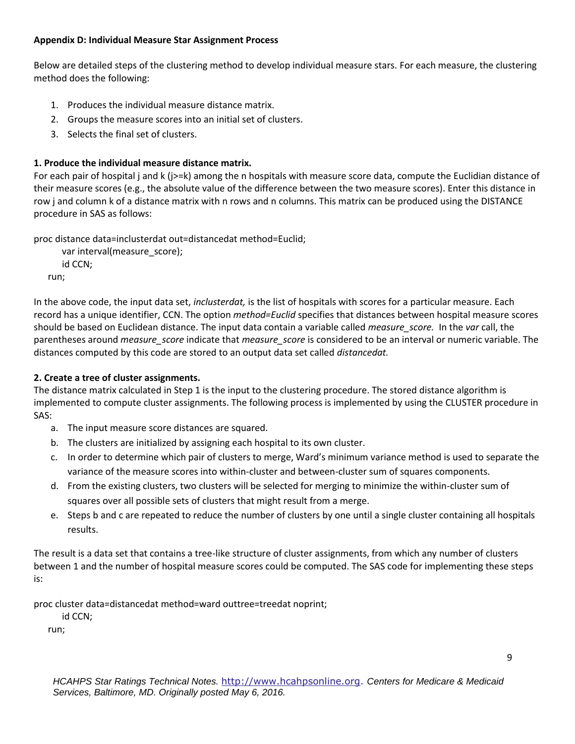#### **Appendix D: Individual Measure Star Assignment Process**

Below are detailed steps of the clustering method to develop individual measure stars. For each measure, the clustering method does the following:

- 1. Produces the individual measure distance matrix.
- 2. Groups the measure scores into an initial set of clusters.
- 3. Selects the final set of clusters.

# **1. Produce the individual measure distance matrix.**

For each pair of hospital j and k (j>=k) among the n hospitals with measure score data, compute the Euclidian distance of their measure scores (e.g., the absolute value of the difference between the two measure scores). Enter this distance in row j and column k of a distance matrix with n rows and n columns. This matrix can be produced using the DISTANCE procedure in SAS as follows:

proc distance data=inclusterdat out=distancedat method=Euclid;

```
 var interval(measure_score);
   id CCN;
run;
```
In the above code, the input data set, *inclusterdat,* is the list of hospitals with scores for a particular measure. Each record has a unique identifier, CCN. The option *method=Euclid* specifies that distances between hospital measure scores should be based on Euclidean distance. The input data contain a variable called *measure\_score.* In the *var* call, the parentheses around *measure\_score* indicate that *measure\_score* is considered to be an interval or numeric variable. The distances computed by this code are stored to an output data set called *distancedat.* 

# **2. Create a tree of cluster assignments.**

The distance matrix calculated in Step 1 is the input to the clustering procedure. The stored distance algorithm is implemented to compute cluster assignments. The following process is implemented by using the CLUSTER procedure in SAS:

- a. The input measure score distances are squared.
- b. The clusters are initialized by assigning each hospital to its own cluster.
- c. In order to determine which pair of clusters to merge, Ward's minimum variance method is used to separate the variance of the measure scores into within-cluster and between-cluster sum of squares components.
- d. From the existing clusters, two clusters will be selected for merging to minimize the within-cluster sum of squares over all possible sets of clusters that might result from a merge.
- e. Steps b and c are repeated to reduce the number of clusters by one until a single cluster containing all hospitals results.

The result is a data set that contains a tree-like structure of cluster assignments, from which any number of clusters between 1 and the number of hospital measure scores could be computed. The SAS code for implementing these steps is:

proc cluster data=distancedat method=ward outtree=treedat noprint;

id CCN;

run;